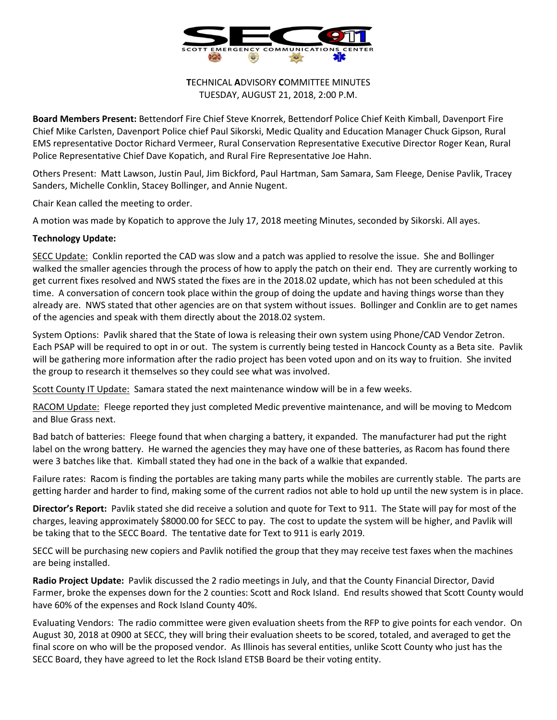

## **T**ECHNICAL **A**DVISORY **C**OMMITTEE MINUTES TUESDAY, AUGUST 21, 2018, 2:00 P.M.

**Board Members Present:** Bettendorf Fire Chief Steve Knorrek, Bettendorf Police Chief Keith Kimball, Davenport Fire Chief Mike Carlsten, Davenport Police chief Paul Sikorski, Medic Quality and Education Manager Chuck Gipson, Rural EMS representative Doctor Richard Vermeer, Rural Conservation Representative Executive Director Roger Kean, Rural Police Representative Chief Dave Kopatich, and Rural Fire Representative Joe Hahn.

Others Present: Matt Lawson, Justin Paul, Jim Bickford, Paul Hartman, Sam Samara, Sam Fleege, Denise Pavlik, Tracey Sanders, Michelle Conklin, Stacey Bollinger, and Annie Nugent.

Chair Kean called the meeting to order.

A motion was made by Kopatich to approve the July 17, 2018 meeting Minutes, seconded by Sikorski. All ayes.

## **Technology Update:**

SECC Update: Conklin reported the CAD was slow and a patch was applied to resolve the issue. She and Bollinger walked the smaller agencies through the process of how to apply the patch on their end. They are currently working to get current fixes resolved and NWS stated the fixes are in the 2018.02 update, which has not been scheduled at this time. A conversation of concern took place within the group of doing the update and having things worse than they already are. NWS stated that other agencies are on that system without issues. Bollinger and Conklin are to get names of the agencies and speak with them directly about the 2018.02 system.

System Options: Pavlik shared that the State of Iowa is releasing their own system using Phone/CAD Vendor Zetron. Each PSAP will be required to opt in or out. The system is currently being tested in Hancock County as a Beta site. Pavlik will be gathering more information after the radio project has been voted upon and on its way to fruition. She invited the group to research it themselves so they could see what was involved.

Scott County IT Update: Samara stated the next maintenance window will be in a few weeks.

RACOM Update: Fleege reported they just completed Medic preventive maintenance, and will be moving to Medcom and Blue Grass next.

Bad batch of batteries: Fleege found that when charging a battery, it expanded. The manufacturer had put the right label on the wrong battery. He warned the agencies they may have one of these batteries, as Racom has found there were 3 batches like that. Kimball stated they had one in the back of a walkie that expanded.

Failure rates: Racom is finding the portables are taking many parts while the mobiles are currently stable. The parts are getting harder and harder to find, making some of the current radios not able to hold up until the new system is in place.

**Director's Report:** Pavlik stated she did receive a solution and quote for Text to 911. The State will pay for most of the charges, leaving approximately \$8000.00 for SECC to pay. The cost to update the system will be higher, and Pavlik will be taking that to the SECC Board. The tentative date for Text to 911 is early 2019.

SECC will be purchasing new copiers and Pavlik notified the group that they may receive test faxes when the machines are being installed.

**Radio Project Update:** Pavlik discussed the 2 radio meetings in July, and that the County Financial Director, David Farmer, broke the expenses down for the 2 counties: Scott and Rock Island. End results showed that Scott County would have 60% of the expenses and Rock Island County 40%.

Evaluating Vendors: The radio committee were given evaluation sheets from the RFP to give points for each vendor. On August 30, 2018 at 0900 at SECC, they will bring their evaluation sheets to be scored, totaled, and averaged to get the final score on who will be the proposed vendor. As Illinois has several entities, unlike Scott County who just has the SECC Board, they have agreed to let the Rock Island ETSB Board be their voting entity.